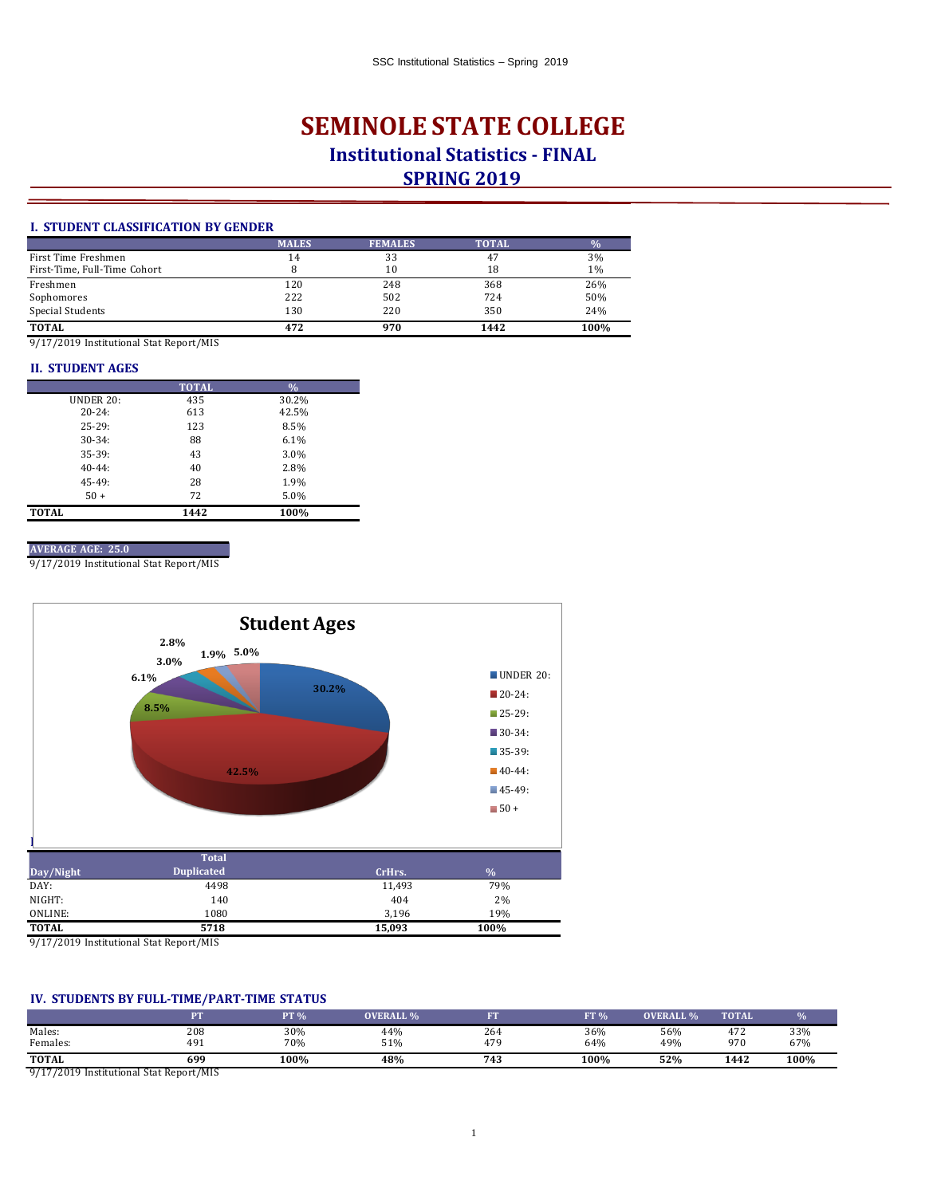# **SEMINOLE STATE COLLEGE Institutional Statistics - FINAL SPRING 2019**

## **I. STUDENT CLASSIFICATION BY GENDER**

|                              | <b>MALES</b> | <b>FEMALES</b> | <b>TOTAL</b> | $\frac{9}{6}$ |
|------------------------------|--------------|----------------|--------------|---------------|
| First Time Freshmen          | 14           | 33             | 47           | 3%            |
| First-Time, Full-Time Cohort |              | 10             | 18           | $1\%$         |
| Freshmen                     | 120          | 248            | 368          | 26%           |
| Sophomores                   | 222          | 502            | 724          | 50%           |
| Special Students             | 130          | 220            | 350          | 24%           |
| <b>TOTAL</b>                 | 472          | 970            | 1442         | 100%          |

9/17/2019 Institutional Stat Report/MIS

### **II. STUDENT AGES**

|                  | <b>TOTAL</b> | $\frac{0}{0}$ |
|------------------|--------------|---------------|
| <b>UNDER 20:</b> | 435          | 30.2%         |
| $20 - 24$ :      | 613          | 42.5%         |
| $25 - 29:$       | 123          | 8.5%          |
| $30 - 34:$       | 88           | 6.1%          |
| $35-39:$         | 43           | 3.0%          |
| $40-44:$         | 40           | 2.8%          |
| $45 - 49$ :      | 28           | 1.9%          |
| $50 +$           | 72           | 5.0%          |
| <b>TOTAL</b>     | 1442         | 100%          |

#### **AVERAGE AGE: 25.0**

9/17/2019 Institutional Stat Report/MIS



9/17/2019 Institutional Stat Report/MIS

# **IV. STUDENTS BY FULL-TIME/PART-TIME STATUS**

|                                                |     | 2T % | <b>OVERALL %</b> | гw  | FT <sub>96</sub> | <b>OVERALL %</b> | <b>TOTAL</b> |      |
|------------------------------------------------|-----|------|------------------|-----|------------------|------------------|--------------|------|
| Males:                                         | 208 | 30%  | 44%              | 264 | 36%              | 56%              | 472          | 33%  |
| Females:                                       | 491 | 70%  | 51%              | 479 | 64%              | 49%              | 970          | 67%  |
| <b>TOTAL</b>                                   | 699 | 100% | 48%              | 743 | 100%             | 52%              | 1442         | 100% |
| $0.47.00401$ $\cdots$ $10.18$ $\cdots$ $0.010$ |     |      |                  |     |                  |                  |              |      |

9/17/2019 Institutional Stat Report/MIS